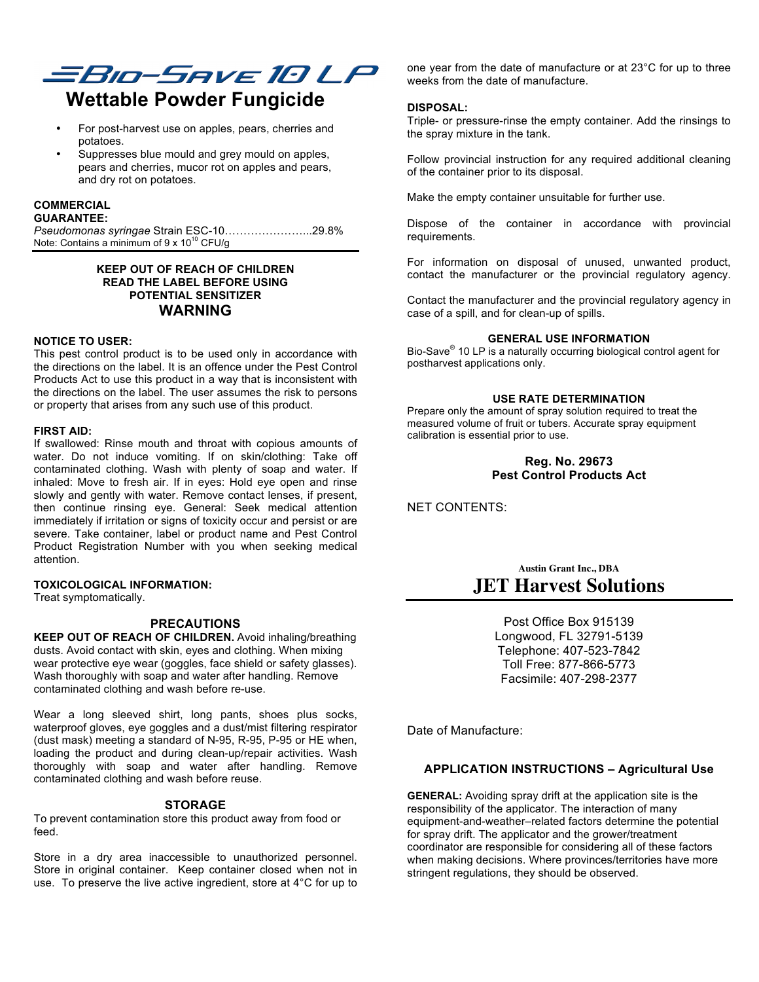

# **Wettable Powder Fungicide**

- For post-harvest use on apples, pears, cherries and potatoes.
- Suppresses blue mould and grey mould on apples. pears and cherries, mucor rot on apples and pears, and dry rot on potatoes.

# **COMMERCIAL**

# **GUARANTEE:**

*Pseudomonas syringae* Strain ESC-10…………………...29.8% Note: Contains a minimum of  $9 \times 10^{10}$  CFU/g

# **KEEP OUT OF REACH OF CHILDREN READ THE LABEL BEFORE USING POTENTIAL SENSITIZER WARNING**

# **NOTICE TO USER:**

This pest control product is to be used only in accordance with the directions on the label. It is an offence under the Pest Control Products Act to use this product in a way that is inconsistent with the directions on the label. The user assumes the risk to persons or property that arises from any such use of this product.

#### **FIRST AID:**

If swallowed: Rinse mouth and throat with copious amounts of water. Do not induce vomiting. If on skin/clothing: Take off contaminated clothing. Wash with plenty of soap and water. If inhaled: Move to fresh air. If in eyes: Hold eye open and rinse slowly and gently with water. Remove contact lenses, if present, then continue rinsing eye. General: Seek medical attention immediately if irritation or signs of toxicity occur and persist or are severe. Take container, label or product name and Pest Control Product Registration Number with you when seeking medical attention.

# **TOXICOLOGICAL INFORMATION:**

Treat symptomatically.

# **PRECAUTIONS**

**KEEP OUT OF REACH OF CHILDREN.** Avoid inhaling/breathing dusts. Avoid contact with skin, eyes and clothing. When mixing wear protective eye wear (goggles, face shield or safety glasses). Wash thoroughly with soap and water after handling. Remove contaminated clothing and wash before re-use.

Wear a long sleeved shirt, long pants, shoes plus socks, waterproof gloves, eye goggles and a dust/mist filtering respirator (dust mask) meeting a standard of N-95, R-95, P-95 or HE when, loading the product and during clean-up/repair activities. Wash thoroughly with soap and water after handling. Remove contaminated clothing and wash before reuse.

# **STORAGE**

To prevent contamination store this product away from food or feed.

Store in a dry area inaccessible to unauthorized personnel. Store in original container. Keep container closed when not in use. To preserve the live active ingredient, store at 4°C for up to

one year from the date of manufacture or at 23°C for up to three weeks from the date of manufacture.

#### **DISPOSAL:**

Triple- or pressure-rinse the empty container. Add the rinsings to the spray mixture in the tank.

Follow provincial instruction for any required additional cleaning of the container prior to its disposal.

Make the empty container unsuitable for further use.

Dispose of the container in accordance with provincial requirements.

For information on disposal of unused, unwanted product, contact the manufacturer or the provincial regulatory agency.

Contact the manufacturer and the provincial regulatory agency in case of a spill, and for clean-up of spills.

#### **GENERAL USE INFORMATION**

Bio-Save<sup>®</sup> 10 LP is a naturally occurring biological control agent for postharvest applications only.

#### **USE RATE DETERMINATION**

Prepare only the amount of spray solution required to treat the measured volume of fruit or tubers. Accurate spray equipment calibration is essential prior to use.

> **Reg. No. 29673 Pest Control Products Act**

NET CONTENTS:

**Austin Grant Inc., DBA JET Harvest Solutions**

> Post Office Box 915139 Longwood, FL 32791-5139 Telephone: 407-523-7842 Toll Free: 877-866-5773 Facsimile: 407-298-2377

Date of Manufacture:

# **APPLICATION INSTRUCTIONS – Agricultural Use**

**GENERAL:** Avoiding spray drift at the application site is the responsibility of the applicator. The interaction of many equipment-and-weather–related factors determine the potential for spray drift. The applicator and the grower/treatment coordinator are responsible for considering all of these factors when making decisions. Where provinces/territories have more stringent regulations, they should be observed.